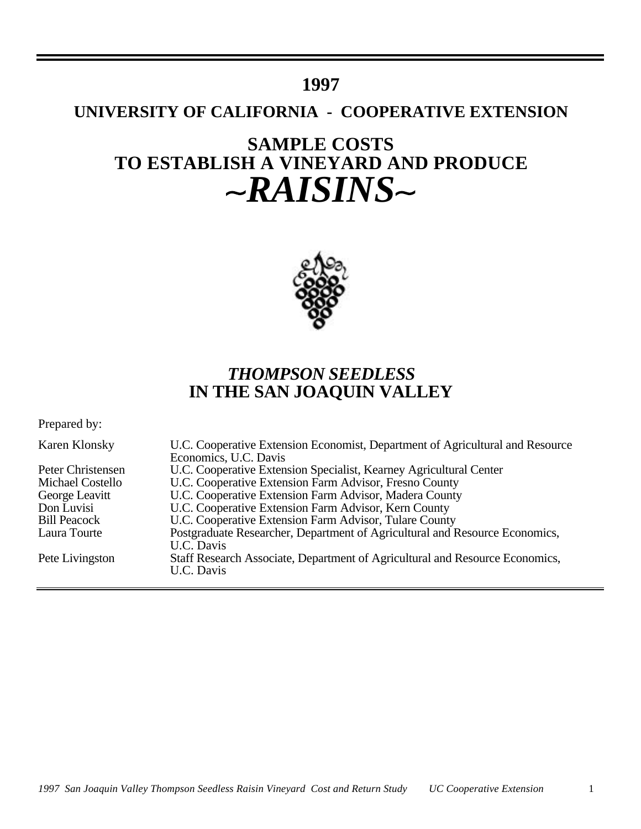# **1997**

# **UNIVERSITY OF CALIFORNIA - COOPERATIVE EXTENSION**

# **SAMPLE COSTS TO ESTABLISH A VINEYARD AND PRODUCE** ~RAISINS~



# *THOMPSON SEEDLESS* **IN THE SAN JOAQUIN VALLEY**

Prepared by:

| Karen Klonsky           | U.C. Cooperative Extension Economist, Department of Agricultural and Resource<br>Economics, U.C. Davis |
|-------------------------|--------------------------------------------------------------------------------------------------------|
| Peter Christensen       | U.C. Cooperative Extension Specialist, Kearney Agricultural Center                                     |
| <b>Michael Costello</b> | U.C. Cooperative Extension Farm Advisor, Fresno County                                                 |
| George Leavitt          | U.C. Cooperative Extension Farm Advisor, Madera County                                                 |
| Don Luvisi              | U.C. Cooperative Extension Farm Advisor, Kern County                                                   |
| <b>Bill Peacock</b>     | U.C. Cooperative Extension Farm Advisor, Tulare County                                                 |
| Laura Tourte            | Postgraduate Researcher, Department of Agricultural and Resource Economics,                            |
|                         | U.C. Davis                                                                                             |
| Pete Livingston         | Staff Research Associate, Department of Agricultural and Resource Economics,<br>U.C. Davis             |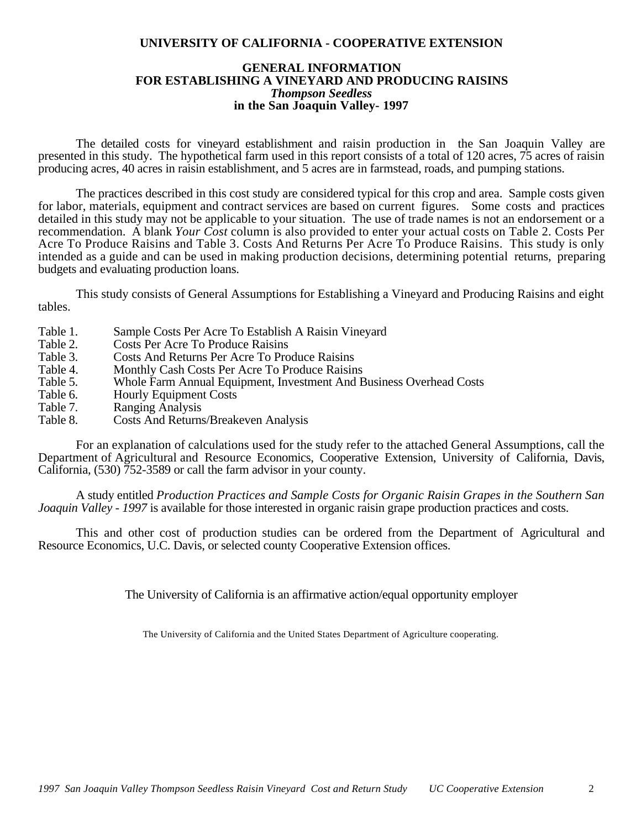# **UNIVERSITY OF CALIFORNIA - COOPERATIVE EXTENSION**

# **GENERAL INFORMATION FOR ESTABLISHING A VINEYARD AND PRODUCING RAISINS** *Thompson Seedless* **in the San Joaquin Valley- 1997**

The detailed costs for vineyard establishment and raisin production in the San Joaquin Valley are presented in this study. The hypothetical farm used in this report consists of a total of 120 acres,  $\overline{75}$  acres of raisin producing acres, 40 acres in raisin establishment, and 5 acres are in farmstead, roads, and pumping stations.

The practices described in this cost study are considered typical for this crop and area. Sample costs given for labor, materials, equipment and contract services are based on current figures. Some costs and practices detailed in this study may not be applicable to your situation. The use of trade names is not an endorsement or a recommendation. A blank *Your Cost* column is also provided to enter your actual costs on Table 2. Costs Per Acre To Produce Raisins and Table 3. Costs And Returns Per Acre To Produce Raisins. This study is only intended as a guide and can be used in making production decisions, determining potential returns, preparing budgets and evaluating production loans.

This study consists of General Assumptions for Establishing a Vineyard and Producing Raisins and eight tables.

- Table 1. Sample Costs Per Acre To Establish A Raisin Vineyard<br>Table 2. Costs Per Acre To Produce Raisins
- Table 2. Costs Per Acre To Produce Raisins<br>Table 3. Costs And Returns Per Acre To Pro
- Table 3. Costs And Returns Per Acre To Produce Raisins<br>Table 4. Monthly Cash Costs Per Acre To Produce Raisin
- Table 4. Monthly Cash Costs Per Acre To Produce Raisins<br>Table 5. Whole Farm Annual Equipment. Investment And E
- Table 5. Whole Farm Annual Equipment, Investment And Business Overhead Costs<br>Table 6. Hourly Equipment Costs
- Table 6. Hourly Equipment Costs<br>Table 7. Ranging Analysis
- Table 7. Ranging Analysis<br>Table 8. Costs And Returns
- Costs And Returns/Breakeven Analysis

For an explanation of calculations used for the study refer to the attached General Assumptions, call the Department of Agricultural and Resource Economics, Cooperative Extension, University of California, Davis, California, (530) 752-3589 or call the farm advisor in your county.

A study entitled *Production Practices and Sample Costs for Organic Raisin Grapes in the Southern San Joaquin Valley - 1997* is available for those interested in organic raisin grape production practices and costs.

This and other cost of production studies can be ordered from the Department of Agricultural and Resource Economics, U.C. Davis, or selected county Cooperative Extension offices.

The University of California is an affirmative action/equal opportunity employer

The University of California and the United States Department of Agriculture cooperating.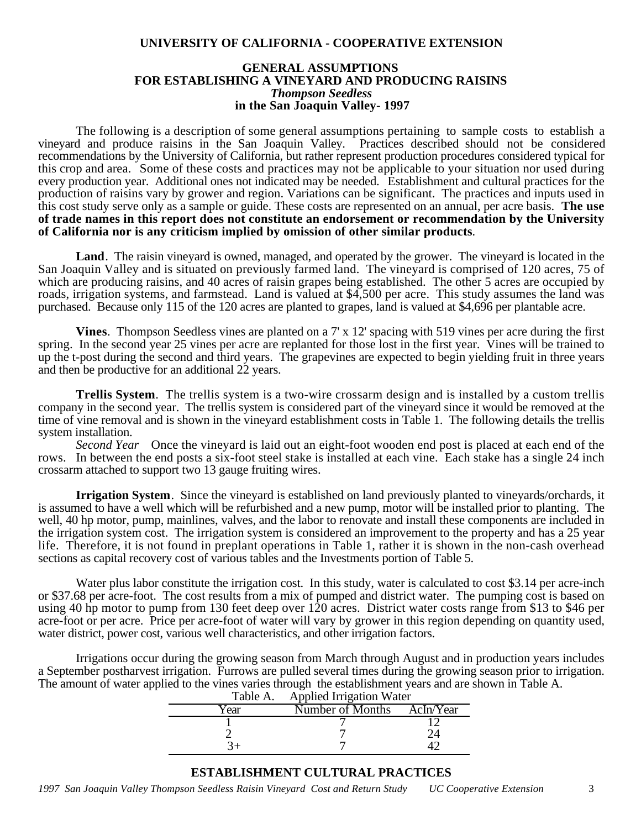# **UNIVERSITY OF CALIFORNIA - COOPERATIVE EXTENSION**

# **GENERAL ASSUMPTIONS FOR ESTABLISHING A VINEYARD AND PRODUCING RAISINS** *Thompson Seedless*  **in the San Joaquin Valley- 1997**

The following is a description of some general assumptions pertaining to sample costs to establish a vineyard and produce raisins in the San Joaquin Valley. Practices described should not be considered recommendations by the University of California, but rather represent production procedures considered typical for this crop and area. Some of these costs and practices may not be applicable to your situation nor used during every production year. Additional ones not indicated may be needed.Establishment and cultural practices for the production of raisins vary by grower and region. Variations can be significant. The practices and inputs used in this cost study serve only as a sample or guide. These costs are represented on an annual, per acre basis. **The use of trade names in this report does not constitute an endorsement or recommendation by the University of California nor is any criticism implied by omission of other similar products***.*

**Land**. The raisin vineyard is owned, managed, and operated by the grower. The vineyard is located in the San Joaquin Valley and is situated on previously farmed land. The vineyard is comprised of 120 acres, 75 of which are producing raisins, and 40 acres of raisin grapes being established. The other 5 acres are occupied by roads, irrigation systems, and farmstead. Land is valued at \$4,500 per acre. This study assumes the land was purchased. Because only 115 of the 120 acres are planted to grapes, land is valued at \$4,696 per plantable acre.

**Vines**. Thompson Seedless vines are planted on a 7' x 12' spacing with 519 vines per acre during the first spring. In the second year 25 vines per acre are replanted for those lost in the first year. Vines will be trained to up the t-post during the second and third years. The grapevines are expected to begin yielding fruit in three years and then be productive for an additional 22 years.

**Trellis System**. The trellis system is a two-wire crossarm design and is installed by a custom trellis company in the second year. The trellis system is considered part of the vineyard since it would be removed at the time of vine removal and is shown in the vineyard establishment costs in Table 1. The following details the trellis system installation.

*Second Year* Once the vineyard is laid out an eight-foot wooden end post is placed at each end of the rows. In between the end posts a six-foot steel stake is installed at each vine. Each stake has a single 24 inch crossarm attached to support two 13 gauge fruiting wires.

**Irrigation System**. Since the vineyard is established on land previously planted to vineyards/orchards, it is assumed to have a well which will be refurbished and a new pump, motor will be installed prior to planting. The well, 40 hp motor, pump, mainlines, valves, and the labor to renovate and install these components are included in the irrigation system cost. The irrigation system is considered an improvement to the property and has a 25 year life. Therefore, it is not found in preplant operations in Table 1, rather it is shown in the non-cash overhead sections as capital recovery cost of various tables and the Investments portion of Table 5.

Water plus labor constitute the irrigation cost. In this study, water is calculated to cost \$3.14 per acre-inch or \$37.68 per acre-foot. The cost results from a mix of pumped and district water. The pumping cost is based on using 40 hp motor to pump from 130 feet deep over 120 acres. District water costs range from \$13 to \$46 per acre-foot or per acre. Price per acre-foot of water will vary by grower in this region depending on quantity used, water district, power cost, various well characteristics, and other irrigation factors.

Irrigations occur during the growing season from March through August and in production years includes a September postharvest irrigation. Furrows are pulled several times during the growing season prior to irrigation. The amount of water applied to the vines varies through the establishment years and are shown in Table A.

|      | Table A. Applied Irrigation Water |  |  |  |  |  |
|------|-----------------------------------|--|--|--|--|--|
| Year | Number of Months AcIn/Year        |  |  |  |  |  |
|      |                                   |  |  |  |  |  |
|      |                                   |  |  |  |  |  |
|      |                                   |  |  |  |  |  |

# **ESTABLISHMENT CULTURAL PRACTICES**

*1997 San Joaquin Valley Thompson Seedless Raisin Vineyard Cost and Return Study UC Cooperative Extension* 3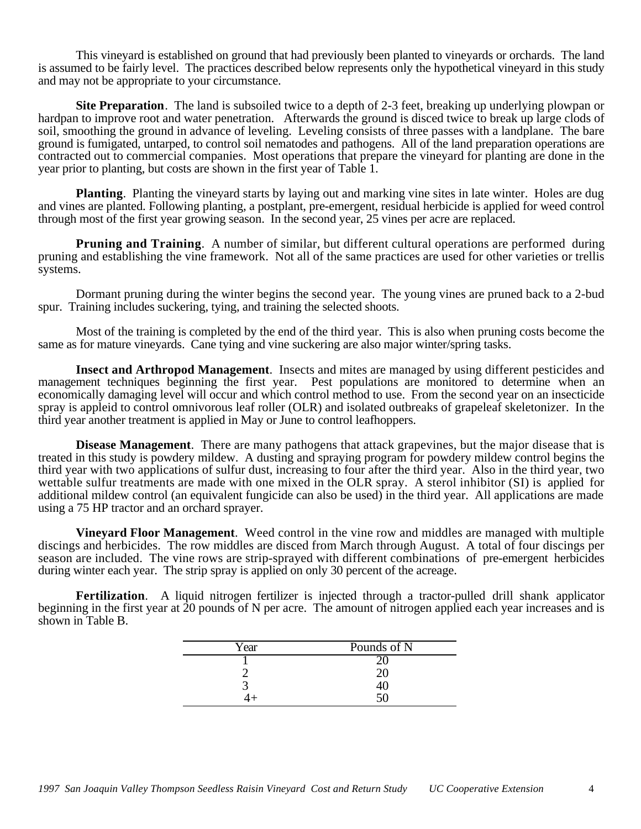This vineyard is established on ground that had previously been planted to vineyards or orchards. The land is assumed to be fairly level. The practices described below represents only the hypothetical vineyard in this study and may not be appropriate to your circumstance.

**Site Preparation**. The land is subsoiled twice to a depth of 2-3 feet, breaking up underlying plowpan or hardpan to improve root and water penetration. Afterwards the ground is disced twice to break up large clods of soil, smoothing the ground in advance of leveling. Leveling consists of three passes with a landplane. The bare ground is fumigated, untarped, to control soil nematodes and pathogens. All of the land preparation operations are contracted out to commercial companies. Most operations that prepare the vineyard for planting are done in the year prior to planting, but costs are shown in the first year of Table 1.

**Planting**. Planting the vineyard starts by laying out and marking vine sites in late winter. Holes are dug and vines are planted. Following planting, a postplant, pre-emergent, residual herbicide is applied for weed control through most of the first year growing season. In the second year, 25 vines per acre are replaced.

**Pruning and Training.** A number of similar, but different cultural operations are performed during pruning and establishing the vine framework. Not all of the same practices are used for other varieties or trellis systems.

Dormant pruning during the winter begins the second year. The young vines are pruned back to a 2-bud spur. Training includes suckering, tying, and training the selected shoots.

Most of the training is completed by the end of the third year. This is also when pruning costs become the same as for mature vineyards. Cane tying and vine suckering are also major winter/spring tasks.

**Insect and Arthropod Management**. Insects and mites are managed by using different pesticides and management techniques beginning the first year. Pest populations are monitored to determine when an economically damaging level will occur and which control method to use. From the second year on an insecticide spray is appleid to control omnivorous leaf roller (OLR) and isolated outbreaks of grapeleaf skeletonizer. In the third year another treatment is applied in May or June to control leafhoppers.

**Disease Management**. There are many pathogens that attack grapevines, but the major disease that is treated in this study is powdery mildew. A dusting and spraying program for powdery mildew control begins the third year with two applications of sulfur dust, increasing to four after the third year. Also in the third year, two wettable sulfur treatments are made with one mixed in the OLR spray. A sterol inhibitor (SI) is applied for additional mildew control (an equivalent fungicide can also be used) in the third year. All applications are made using a 75 HP tractor and an orchard sprayer.

**Vineyard Floor Management**. Weed control in the vine row and middles are managed with multiple discings and herbicides. The row middles are disced from March through August. A total of four discings per season are included. The vine rows are strip-sprayed with different combinations of pre-emergent herbicides during winter each year. The strip spray is applied on only 30 percent of the acreage.

**Fertilization**. A liquid nitrogen fertilizer is injected through a tractor-pulled drill shank applicator beginning in the first year at 20 pounds of N per acre. The amount of nitrogen applied each year increases and is shown in Table B.

| Year | Pounds of N |
|------|-------------|
|      |             |
|      |             |
|      | $+0$        |
|      |             |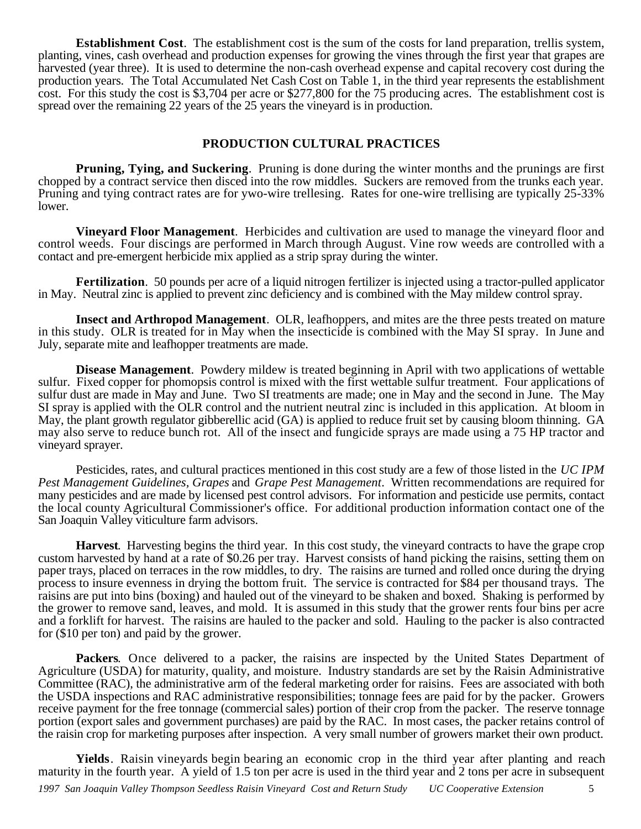**Establishment Cost**. The establishment cost is the sum of the costs for land preparation, trellis system, planting, vines, cash overhead and production expenses for growing the vines through the first year that grapes are harvested (year three). It is used to determine the non-cash overhead expense and capital recovery cost during the production years. The Total Accumulated Net Cash Cost on Table 1, in the third year represents the establishment cost. For this study the cost is \$3,704 per acre or \$277,800 for the 75 producing acres. The establishment cost is spread over the remaining 22 years of the 25 years the vineyard is in production.

# **PRODUCTION CULTURAL PRACTICES**

**Pruning, Tying, and Suckering**. Pruning is done during the winter months and the prunings are first chopped by a contract service then disced into the row middles. Suckers are removed from the trunks each year. Pruning and tying contract rates are for ywo-wire trellesing. Rates for one-wire trellising are typically 25-33% lower.

**Vineyard Floor Management**. Herbicides and cultivation are used to manage the vineyard floor and control weeds. Four discings are performed in March through August. Vine row weeds are controlled with a contact and pre-emergent herbicide mix applied as a strip spray during the winter.

**Fertilization**. 50 pounds per acre of a liquid nitrogen fertilizer is injected using a tractor-pulled applicator in May. Neutral zinc is applied to prevent zinc deficiency and is combined with the May mildew control spray.

**Insect and Arthropod Management**. OLR, leafhoppers, and mites are the three pests treated on mature in this study. OLR is treated for in May when the insecticide is combined with the May SI spray. In June and July, separate mite and leafhopper treatments are made.

**Disease Management**. Powdery mildew is treated beginning in April with two applications of wettable sulfur. Fixed copper for phomopsis control is mixed with the first wettable sulfur treatment. Four applications of sulfur dust are made in May and June. Two SI treatments are made; one in May and the second in June. The May SI spray is applied with the OLR control and the nutrient neutral zinc is included in this application. At bloom in May, the plant growth regulator gibberellic acid (GA) is applied to reduce fruit set by causing bloom thinning. GA may also serve to reduce bunch rot. All of the insect and fungicide sprays are made using a 75 HP tractor and vineyard sprayer.

Pesticides, rates, and cultural practices mentioned in this cost study are a few of those listed in the *UC IPM Pest Management Guidelines, Grapes* and *Grape Pest Management*. Written recommendations are required for many pesticides and are made by licensed pest control advisors. For information and pesticide use permits, contact the local county Agricultural Commissioner's office. For additional production information contact one of the San Joaquin Valley viticulture farm advisors.

**Harvest**. Harvesting begins the third year. In this cost study, the vineyard contracts to have the grape crop custom harvested by hand at a rate of \$0.26 per tray. Harvest consists of hand picking the raisins, setting them on paper trays, placed on terraces in the row middles, to dry. The raisins are turned and rolled once during the drying process to insure evenness in drying the bottom fruit. The service is contracted for \$84 per thousand trays. The raisins are put into bins (boxing) and hauled out of the vineyard to be shaken and boxed. Shaking is performed by the grower to remove sand, leaves, and mold. It is assumed in this study that the grower rents four bins per acre and a forklift for harvest. The raisins are hauled to the packer and sold. Hauling to the packer is also contracted for (\$10 per ton) and paid by the grower.

**Packers**. Once delivered to a packer, the raisins are inspected by the United States Department of Agriculture (USDA) for maturity, quality, and moisture. Industry standards are set by the Raisin Administrative Committee (RAC), the administrative arm of the federal marketing order for raisins. Fees are associated with both the USDA inspections and RAC administrative responsibilities; tonnage fees are paid for by the packer. Growers receive payment for the free tonnage (commercial sales) portion of their crop from the packer. The reserve tonnage portion (export sales and government purchases) are paid by the RAC. In most cases, the packer retains control of the raisin crop for marketing purposes after inspection. A very small number of growers market their own product.

*1997 San Joaquin Valley Thompson Seedless Raisin Vineyard Cost and Return Study UC Cooperative Extension* 5 **Yields**. Raisin vineyards begin bearing an economic crop in the third year after planting and reach maturity in the fourth year. A yield of 1.5 ton per acre is used in the third year and 2 tons per acre in subsequent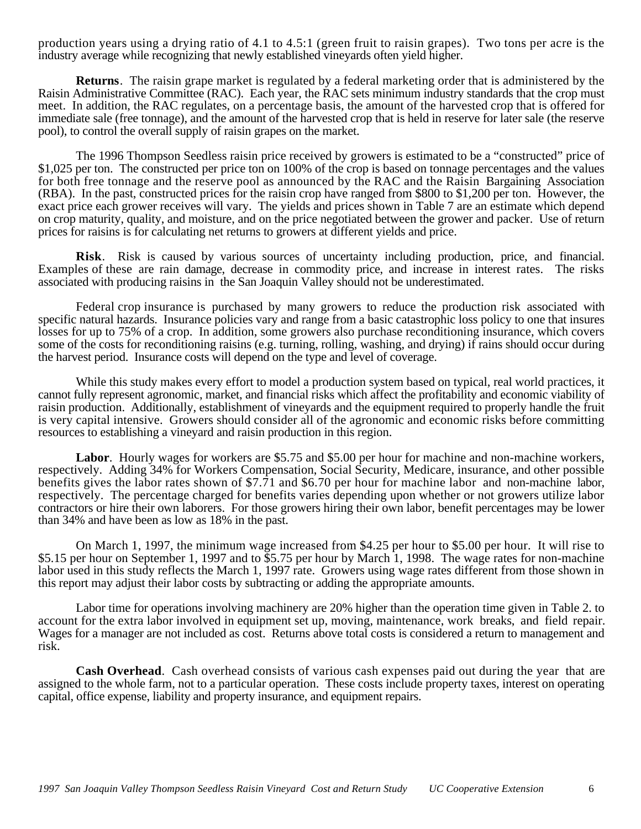production years using a drying ratio of 4.1 to 4.5:1 (green fruit to raisin grapes). Two tons per acre is the industry average while recognizing that newly established vineyards often yield higher.

**Returns**. The raisin grape market is regulated by a federal marketing order that is administered by the Raisin Administrative Committee (RAC). Each year, the RAC sets minimum industry standards that the crop must meet. In addition, the RAC regulates, on a percentage basis, the amount of the harvested crop that is offered for immediate sale (free tonnage), and the amount of the harvested crop that is held in reserve for later sale (the reserve pool), to control the overall supply of raisin grapes on the market.

The 1996 Thompson Seedless raisin price received by growers is estimated to be a "constructed" price of \$1,025 per ton. The constructed per price ton on 100% of the crop is based on tonnage percentages and the values for both free tonnage and the reserve pool as announced by the RAC and the Raisin Bargaining Association (RBA). In the past, constructed prices for the raisin crop have ranged from \$800 to \$1,200 per ton. However, the exact price each grower receives will vary. The yields and prices shown in Table 7 are an estimate which depend on crop maturity, quality, and moisture, and on the price negotiated between the grower and packer. Use of return prices for raisins is for calculating net returns to growers at different yields and price.

**Risk**. Risk is caused by various sources of uncertainty including production, price, and financial. Examples of these are rain damage, decrease in commodity price, and increase in interest rates. The risks associated with producing raisins in the San Joaquin Valley should not be underestimated.

Federal crop insurance is purchased by many growers to reduce the production risk associated with specific natural hazards. Insurance policies vary and range from a basic catastrophic loss policy to one that insures losses for up to 75% of a crop. In addition, some growers also purchase reconditioning insurance, which covers some of the costs for reconditioning raisins (e.g. turning, rolling, washing, and drying) if rains should occur during the harvest period. Insurance costs will depend on the type and level of coverage.

While this study makes every effort to model a production system based on typical, real world practices, it cannot fully represent agronomic, market, and financial risks which affect the profitability and economic viability of raisin production. Additionally, establishment of vineyards and the equipment required to properly handle the fruit is very capital intensive. Growers should consider all of the agronomic and economic risks before committing resources to establishing a vineyard and raisin production in this region.

Labor. Hourly wages for workers are \$5.75 and \$5.00 per hour for machine and non-machine workers, respectively. Adding 34% for Workers Compensation, Social Security, Medicare, insurance, and other possible benefits gives the labor rates shown of \$7.71 and \$6.70 per hour for machine labor and non-machine labor, respectively. The percentage charged for benefits varies depending upon whether or not growers utilize labor contractors or hire their own laborers. For those growers hiring their own labor, benefit percentages may be lower than 34% and have been as low as 18% in the past.

On March 1, 1997, the minimum wage increased from \$4.25 per hour to \$5.00 per hour. It will rise to \$5.15 per hour on September 1, 1997 and to \$5.75 per hour by March 1, 1998. The wage rates for non-machine labor used in this study reflects the March 1, 1997 rate. Growers using wage rates different from those shown in this report may adjust their labor costs by subtracting or adding the appropriate amounts.

Labor time for operations involving machinery are 20% higher than the operation time given in Table 2. to account for the extra labor involved in equipment set up, moving, maintenance, work breaks, and field repair. Wages for a manager are not included as cost. Returns above total costs is considered a return to management and risk.

**Cash Overhead**. Cash overhead consists of various cash expenses paid out during the year that are assigned to the whole farm, not to a particular operation. These costs include property taxes, interest on operating capital, office expense, liability and property insurance, and equipment repairs.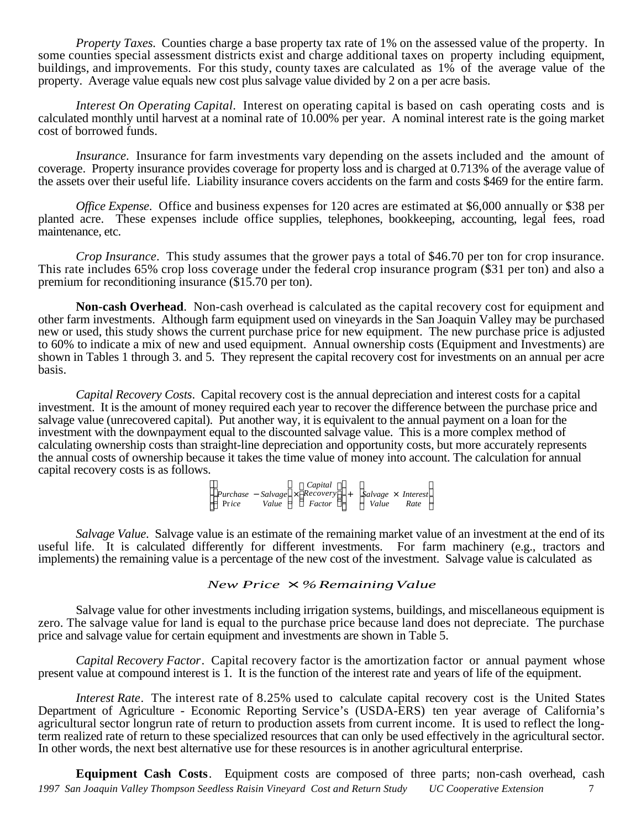*Property Taxes.* Counties charge a base property tax rate of 1% on the assessed value of the property. In some counties special assessment districts exist and charge additional taxes on property including equipment, buildings, and improvements. For this study, county taxes are calculated as 1% of the average value of the property. Average value equals new cost plus salvage value divided by 2 on a per acre basis.

*Interest On Operating Capital*. Interest on operating capital is based on cash operating costs and is calculated monthly until harvest at a nominal rate of 10.00% per year. A nominal interest rate is the going market cost of borrowed funds.

*Insurance*. Insurance for farm investments vary depending on the assets included and the amount of coverage. Property insurance provides coverage for property loss and is charged at 0.713% of the average value of the assets over their useful life. Liability insurance covers accidents on the farm and costs \$469 for the entire farm.

*Office Expense*. Office and business expenses for 120 acres are estimated at \$6,000 annually or \$38 per planted acre. These expenses include office supplies, telephones, bookkeeping, accounting, legal fees, road maintenance, etc.

*Crop Insurance*. This study assumes that the grower pays a total of \$46.70 per ton for crop insurance. This rate includes 65% crop loss coverage under the federal crop insurance program (\$31 per ton) and also a premium for reconditioning insurance (\$15.70 per ton).

**Non-cash Overhead**. Non-cash overhead is calculated as the capital recovery cost for equipment and other farm investments. Although farm equipment used on vineyards in the San Joaquin Valley may be purchased new or used, this study shows the current purchase price for new equipment. The new purchase price is adjusted to 60% to indicate a mix of new and used equipment. Annual ownership costs (Equipment and Investments) are shown in Tables 1 through 3. and 5. They represent the capital recovery cost for investments on an annual per acre basis.

*Capital Recovery Costs*. Capital recovery cost is the annual depreciation and interest costs for a capital investment. It is the amount of money required each year to recover the difference between the purchase price and salvage value (unrecovered capital). Put another way, it is equivalent to the annual payment on a loan for the investment with the downpayment equal to the discounted salvage value. This is a more complex method of calculating ownership costs than straight-line depreciation and opportunity costs, but more accurately represents the annual costs of ownership because it takes the time value of money into account. The calculation for annual capital recovery costs is as follows.

> *Purchase* − *Salvage* × *Recovery* Pr*ice Value Factor Capital* + *Salvage* × *Interest Value Rate*

*Salvage Value*. Salvage value is an estimate of the remaining market value of an investment at the end of its useful life. It is calculated differently for different investments. For farm machinery (e.g., tractors and implements) the remaining value is a percentage of the new cost of the investment. Salvage value is calculated as

# *New Price* × *%RemainingValue*

Salvage value for other investments including irrigation systems, buildings, and miscellaneous equipment is zero. The salvage value for land is equal to the purchase price because land does not depreciate. The purchase price and salvage value for certain equipment and investments are shown in Table 5.

*Capital Recovery Factor*. Capital recovery factor is the amortization factor or annual payment whose present value at compound interest is 1. It is the function of the interest rate and years of life of the equipment.

*Interest Rate*. The interest rate of 8.25% used to calculate capital recovery cost is the United States Department of Agriculture - Economic Reporting Service's (USDA-ERS) ten year average of California's agricultural sector longrun rate of return to production assets from current income. It is used to reflect the longterm realized rate of return to these specialized resources that can only be used effectively in the agricultural sector. In other words, the next best alternative use for these resources is in another agricultural enterprise.

*1997 San Joaquin Valley Thompson Seedless Raisin Vineyard Cost and Return Study UC Cooperative Extension* 7 **Equipment Cash Costs**. Equipment costs are composed of three parts; non-cash overhead, cash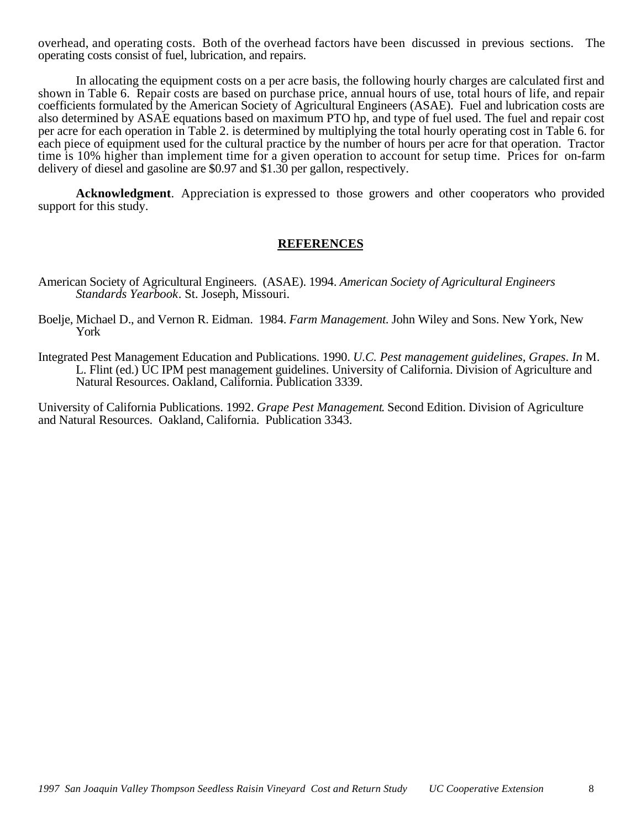overhead, and operating costs. Both of the overhead factors have been discussed in previous sections. The operating costs consist of fuel, lubrication, and repairs.

In allocating the equipment costs on a per acre basis, the following hourly charges are calculated first and shown in Table 6. Repair costs are based on purchase price, annual hours of use, total hours of life, and repair coefficients formulated by the American Society of Agricultural Engineers (ASAE). Fuel and lubrication costs are also determined by ASAE equations based on maximum PTO hp, and type of fuel used. The fuel and repair cost per acre for each operation in Table 2. is determined by multiplying the total hourly operating cost in Table 6. for each piece of equipment used for the cultural practice by the number of hours per acre for that operation. Tractor time is 10% higher than implement time for a given operation to account for setup time. Prices for on-farm delivery of diesel and gasoline are \$0.97 and \$1.30 per gallon, respectively.

**Acknowledgment**. Appreciation is expressed to those growers and other cooperators who provided support for this study.

# **REFERENCES**

- American Society of Agricultural Engineers. (ASAE). 1994. *American Society of Agricultural Engineers Standards Yearbook*. St. Joseph, Missouri.
- Boelje, Michael D., and Vernon R. Eidman. 1984. *Farm Management*. John Wiley and Sons. New York, New York
- Integrated Pest Management Education and Publications. 1990. *U.C. Pest management guidelines, Grapes*. *In* M. L. Flint (ed.) UC IPM pest management guidelines. University of California. Division of Agriculture and Natural Resources. Oakland, California. Publication 3339.

University of California Publications. 1992. *Grape Pest Management*. Second Edition. Division of Agriculture and Natural Resources. Oakland, California. Publication 3343.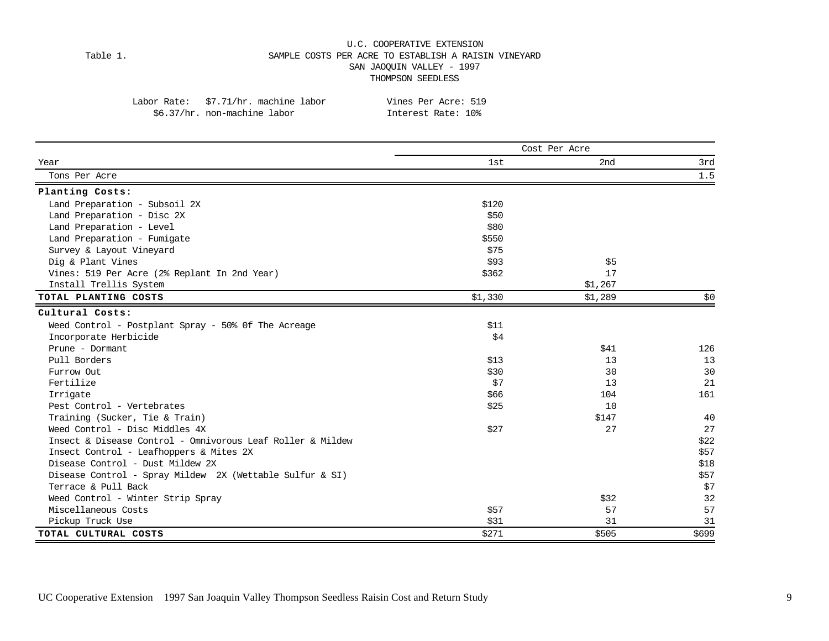### U.C. COOPERATIVE EXTENSION Table 1. SAMPLE COSTS PER ACRE TO ESTABLISH A RAISIN VINEYARD SAN JAOQUIN VALLEY - 1997 THOMPSON SEEDLESS

| po.s//iit. non-machine rapor                               | TIILELESL KALE. IV6 |               |      |
|------------------------------------------------------------|---------------------|---------------|------|
|                                                            |                     | Cost Per Acre |      |
| Year                                                       | 1st                 | 2nd           | 3rd  |
| Tons Per Acre                                              |                     |               | 1.5  |
| Planting Costs:                                            |                     |               |      |
| Land Preparation - Subsoil 2X                              | \$120               |               |      |
| Land Preparation - Disc 2X                                 | \$50                |               |      |
| Land Preparation - Level                                   | \$80                |               |      |
| Land Preparation - Fumigate                                | \$550               |               |      |
| Survey & Layout Vineyard                                   | \$75                |               |      |
| Dig & Plant Vines                                          | \$93                | \$5           |      |
| Vines: 519 Per Acre (2% Replant In 2nd Year)               | \$362               | 17            |      |
| Install Trellis System                                     |                     | \$1,267       |      |
| TOTAL PLANTING COSTS                                       | \$1,330             | \$1,289       | \$0  |
| Cultural Costs:                                            |                     |               |      |
| Weed Control - Postplant Spray - 50% Of The Acreage        | \$11                |               |      |
| Incorporate Herbicide                                      | \$4                 |               |      |
| Prune - Dormant                                            |                     | \$41          | 126  |
| Pull Borders                                               | \$13                | 13            | 13   |
| Furrow Out                                                 | \$30                | 30            | 30   |
| Fertilize                                                  | \$7                 | 13            | 21   |
| Irrigate                                                   | \$66                | 104           | 161  |
| Pest Control - Vertebrates                                 | \$25                | 10            |      |
| Training (Sucker, Tie & Train)                             |                     | \$147         | 40   |
| Weed Control - Disc Middles 4X                             | \$27                | 27            | 27   |
| Insect & Disease Control - Omnivorous Leaf Roller & Mildew |                     |               | \$22 |
| Insect Control - Leafhoppers & Mites 2X                    |                     |               | \$57 |
| Disease Control - Dust Mildew 2X                           |                     |               | \$18 |
| Disease Control - Spray Mildew 2X (Wettable Sulfur & SI)   |                     |               | \$57 |
| Terrace & Pull Back                                        |                     |               | \$7  |
| Weed Control - Winter Strip Spray                          |                     | \$32          | 32   |
| Miscellaneous Costs                                        | \$57                | 57            | 57   |
| Pickup Truck Use                                           | \$31                | 31            | 31   |

**TOTAL CULTURAL COSTS** \$699 \$699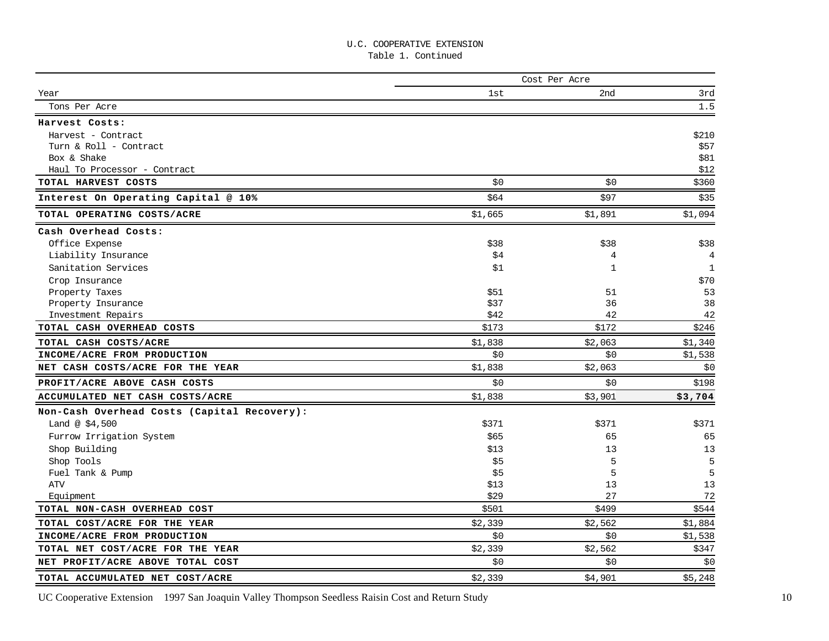Table 1. Continued

|                                             | Cost Per Acre |              |              |  |  |  |  |
|---------------------------------------------|---------------|--------------|--------------|--|--|--|--|
| Year                                        | 1st           | 2nd          | 3rd          |  |  |  |  |
| Tons Per Acre                               |               |              | 1.5          |  |  |  |  |
| Harvest Costs:                              |               |              |              |  |  |  |  |
| Harvest - Contract                          |               |              | \$210        |  |  |  |  |
| Turn & Roll - Contract                      |               |              | \$57         |  |  |  |  |
| Box & Shake                                 |               |              | \$81         |  |  |  |  |
| Haul To Processor - Contract                |               |              | \$12         |  |  |  |  |
| TOTAL HARVEST COSTS                         | \$0           | \$0          | \$360        |  |  |  |  |
| Interest On Operating Capital @ 10%         | \$64          | \$97         | \$35         |  |  |  |  |
| TOTAL OPERATING COSTS/ACRE                  | \$1,665       | \$1,891      | \$1,094      |  |  |  |  |
| Cash Overhead Costs:                        |               |              |              |  |  |  |  |
| Office Expense                              | \$38          | \$38         | \$38         |  |  |  |  |
| Liability Insurance                         | \$4           | 4            | 4            |  |  |  |  |
| Sanitation Services                         | \$1           | $\mathbf{1}$ | $\mathbf{1}$ |  |  |  |  |
| Crop Insurance                              |               |              | \$70         |  |  |  |  |
| Property Taxes                              | \$51          | 51           | 53           |  |  |  |  |
| Property Insurance                          | \$37          | 36           | 38           |  |  |  |  |
| Investment Repairs                          | \$42          | 42           | 42           |  |  |  |  |
| TOTAL CASH OVERHEAD COSTS                   | \$173         | \$172        | \$246        |  |  |  |  |
| TOTAL CASH COSTS/ACRE                       | \$1,838       | \$2,063      | \$1,340      |  |  |  |  |
| INCOME/ACRE FROM PRODUCTION                 | \$0           | \$0          | \$1,538      |  |  |  |  |
| NET CASH COSTS/ACRE FOR THE YEAR            | \$1,838       | \$2,063      | \$0          |  |  |  |  |
| PROFIT/ACRE ABOVE CASH COSTS                | \$0           | \$0          | \$198        |  |  |  |  |
| ACCUMULATED NET CASH COSTS/ACRE             | \$1,838       | \$3,901      | \$3,704      |  |  |  |  |
| Non-Cash Overhead Costs (Capital Recovery): |               |              |              |  |  |  |  |
| Land @ $$4,500$                             | \$371         | \$371        | \$371        |  |  |  |  |
| Furrow Irrigation System                    | \$65          | 65           | 65           |  |  |  |  |
| Shop Building                               | \$13          | 13           | 13           |  |  |  |  |
| Shop Tools                                  | \$5           | 5            | 5            |  |  |  |  |
| Fuel Tank & Pump                            | \$5           | 5            | 5            |  |  |  |  |
| <b>ATV</b>                                  | \$13          | 13           | 13           |  |  |  |  |
| Equipment                                   | \$29          | 27           | 72           |  |  |  |  |
| TOTAL NON-CASH OVERHEAD COST                | \$501         | \$499        | \$544        |  |  |  |  |
| TOTAL COST/ACRE FOR THE YEAR                | \$2,339       | \$2,562      | \$1,884      |  |  |  |  |
| INCOME/ACRE FROM PRODUCTION                 | \$0           | \$0\$        | \$1,538      |  |  |  |  |
| TOTAL NET COST/ACRE FOR THE YEAR            | \$2,339       | \$2,562      | \$347        |  |  |  |  |
| NET PROFIT/ACRE ABOVE TOTAL COST            | \$0           | \$0          | \$0          |  |  |  |  |
| TOTAL ACCUMULATED NET COST/ACRE             | \$2,339       | \$4,901      | \$5,248      |  |  |  |  |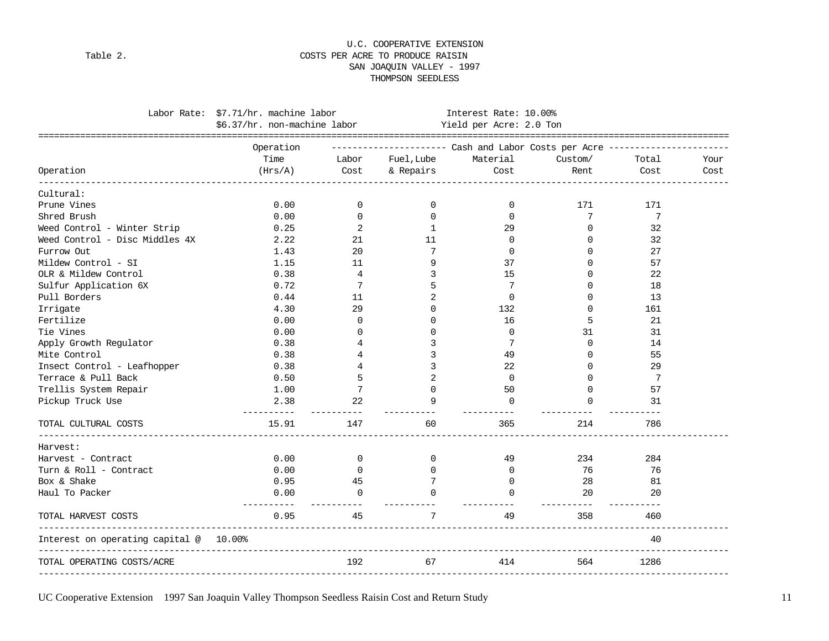### U.C. COOPERATIVE EXTENSION Table 2. Table 2. SAN JOAQUIN VALLEY - 1997 THOMPSON SEEDLESS

|                                                                   | Labor Rate: \$7.71/hr. machine labor<br>\$6.37/hr. non-machine labor |                | Interest Rate: 10.00%<br>Yield per Acre: 2.0 Ton                            |                  |                   |       |      |
|-------------------------------------------------------------------|----------------------------------------------------------------------|----------------|-----------------------------------------------------------------------------|------------------|-------------------|-------|------|
|                                                                   | Operation                                                            |                | ---------------------        Cash and Labor Costs per Acre ---------------- |                  |                   |       |      |
|                                                                   | Time                                                                 | Labor          | Fuel,Lube                                                                   | Material         | Custom/           | Total | Your |
| Operation                                                         | (Hrs/A)                                                              | Cost           | & Repairs                                                                   | Cost             | Rent              | Cost  | Cost |
| Cultural:                                                         |                                                                      |                |                                                                             |                  |                   |       |      |
| Prune Vines                                                       | 0.00                                                                 | $\Omega$       | $\Omega$                                                                    | 0                | 171               | 171   |      |
| Shred Brush                                                       | 0.00                                                                 | $\Omega$       | $\Omega$                                                                    | $\Omega$         | 7                 | 7     |      |
| Weed Control - Winter Strip                                       | 0.25                                                                 | 2              | 1                                                                           | 29               | 0                 | 32    |      |
| Weed Control - Disc Middles 4X                                    | 2.22                                                                 | 21             | 11                                                                          | 0                | $\Omega$          | 32    |      |
| Furrow Out                                                        | 1.43                                                                 | 20             | 7                                                                           | $\Omega$         | $\Omega$          | 27    |      |
| Mildew Control - SI                                               | 1.15                                                                 | 11             | 9                                                                           | 37               | $\Omega$          | 57    |      |
| OLR & Mildew Control                                              | 0.38                                                                 | 4              | 3                                                                           | 15               | $\Omega$          | 22    |      |
| Sulfur Application 6X                                             | 0.72                                                                 | 7              | 5                                                                           | 7                | $\Omega$          | 18    |      |
| Pull Borders                                                      | 0.44                                                                 | 11             | 2                                                                           | 0                | <sup>0</sup>      | 13    |      |
| Irrigate                                                          | 4.30                                                                 | 29             | $\Omega$                                                                    | 132              | $\Omega$          | 161   |      |
| Fertilize                                                         | 0.00                                                                 | $\mathbf 0$    | $\Omega$                                                                    | 16               | 5                 | 21    |      |
| Tie Vines                                                         | 0.00                                                                 | $\Omega$       | <sup>0</sup>                                                                | 0                | 31                | 31    |      |
| Apply Growth Regulator                                            | 0.38                                                                 |                | 3                                                                           | 7                | $\Omega$          | 14    |      |
| Mite Control                                                      | 0.38                                                                 |                | 3                                                                           | 49               | $\Omega$          | 55    |      |
| Insect Control - Leafhopper                                       | 0.38                                                                 |                |                                                                             | 22               | $\Omega$          | 29    |      |
| Terrace & Pull Back                                               | 0.50                                                                 | 5              | 2                                                                           | $\mathbf 0$      | $\Omega$          | 7     |      |
| Trellis System Repair                                             | 1.00                                                                 | 7              | $\Omega$                                                                    | 50               | $\Omega$          | 57    |      |
| Pickup Truck Use                                                  | 2.38                                                                 | 22             | 9                                                                           | $\Omega$         | $\Omega$          | 31    |      |
| TOTAL CULTURAL COSTS                                              | 15.91                                                                | 147            | 60                                                                          | 365              | 214               | 786   |      |
| Harvest:                                                          |                                                                      |                |                                                                             |                  |                   |       |      |
| Harvest - Contract                                                | 0.00                                                                 | $\overline{0}$ | $\overline{0}$                                                              | 49               | 234               | 284   |      |
| Turn & Roll - Contract                                            | 0.00                                                                 | $\Omega$       | $\Omega$                                                                    | 0                | 76                | 76    |      |
| Box & Shake                                                       | 0.95                                                                 | 45             |                                                                             | $\Omega$         | -28               | 81    |      |
| Haul To Packer                                                    | 0.00<br>----------                                                   | $\Omega$       | $\cap$                                                                      | $\Omega$         | 20                | 20    |      |
| TOTAL HARVEST COSTS                                               | 0.95                                                                 | 45             | $7^{\circ}$                                                                 | ----------<br>49 | ----------<br>358 | 460   |      |
| Interest on operating capital @ 10.00%<br>----------------------- |                                                                      |                |                                                                             |                  |                   | 40    |      |
| TOTAL OPERATING COSTS/ACRE                                        |                                                                      | 192            | 67                                                                          | 414              | 564               | 1286  |      |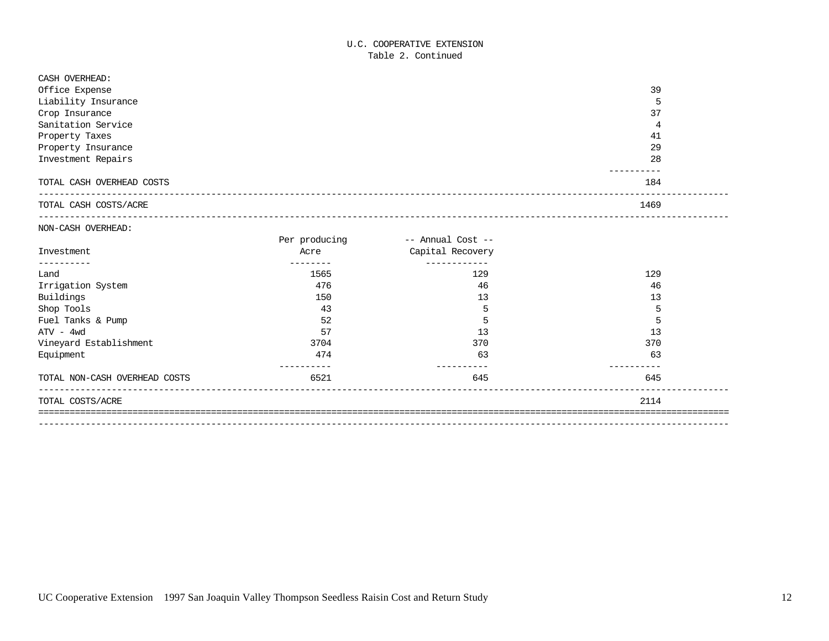### U.C. COOPERATIVE EXTENSION Table 2. Continued

| CASH OVERHEAD:                |                   |                                  |      |
|-------------------------------|-------------------|----------------------------------|------|
| Office Expense                |                   |                                  | 39   |
| Liability Insurance           |                   |                                  | 5    |
| Crop Insurance                |                   |                                  | 37   |
| Sanitation Service            |                   |                                  | 4    |
| Property Taxes                |                   |                                  | 41   |
| Property Insurance            |                   |                                  | 29   |
| Investment Repairs            |                   |                                  | 28   |
| TOTAL CASH OVERHEAD COSTS     |                   |                                  | 184  |
| TOTAL CASH COSTS/ACRE         |                   |                                  | 1469 |
| NON-CASH OVERHEAD:            |                   |                                  |      |
|                               | Per producing     | -- Annual Cost --                |      |
| Investment<br>----------      | Acre<br>--------- | Capital Recovery<br>------------ |      |
| Land                          | 1565              | 129                              | 129  |
| Irrigation System             | 476               | 46                               | 46   |
| Buildings                     | 150               | 13                               | 13   |
| Shop Tools                    | 43                | 5                                | 5    |
| Fuel Tanks & Pump             | 52                | 5                                | 5    |
| $ATV - 4wd$                   | 57                | 13                               | 13   |
| Vineyard Establishment        | 3704              | 370                              | 370  |
| Equipment                     | 474<br>---------- | 63<br>--------                   | 63   |
| TOTAL NON-CASH OVERHEAD COSTS | 6521              | 645                              | 645  |
| TOTAL COSTS/ACRE              |                   |                                  | 2114 |
|                               |                   |                                  |      |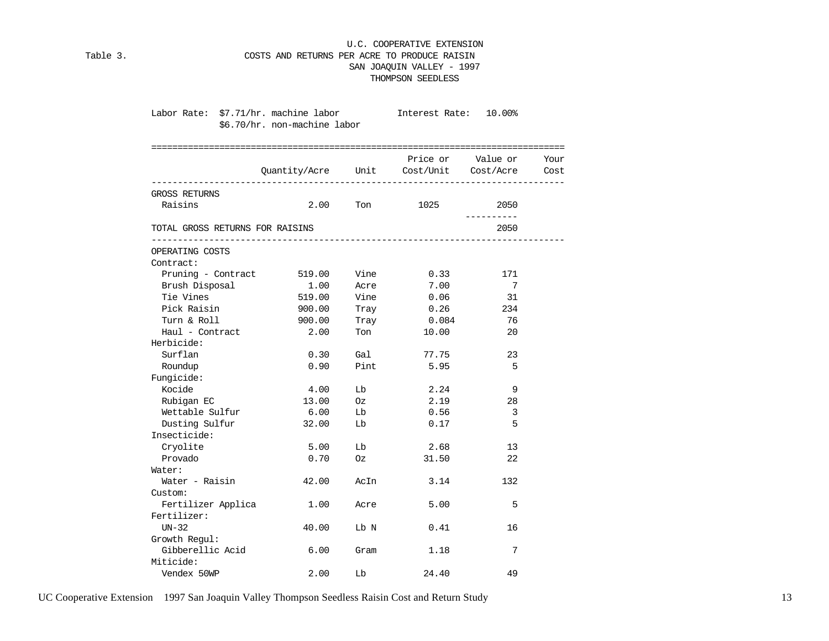### U.C. COOPERATIVE EXTENSION Table 3. COSTS AND RETURNS PER ACRE TO PRODUCE RAISIN SAN JOAQUIN VALLEY - 1997 THOMPSON SEEDLESS

| Labor Rate: \$7.71/hr. machine labor | \$6.70/hr. non-machine labor |      | Interest Rate: 10.00%                       |                        |  |
|--------------------------------------|------------------------------|------|---------------------------------------------|------------------------|--|
|                                      |                              |      | Quantity/Acre Unit Cost/Unit Cost/Acre Cost | Price or Value or Your |  |
| GROSS RETURNS                        |                              |      |                                             |                        |  |
| Raisins                              | 2.00                         |      | Ton 1025                                    | 2050                   |  |
| TOTAL GROSS RETURNS FOR RAISINS      |                              |      |                                             | -----------<br>2050    |  |
| OPERATING COSTS                      |                              |      |                                             |                        |  |
| Contract:                            |                              |      |                                             |                        |  |
| Pruning - Contract 519.00            |                              | Vine | 0.33                                        | 171                    |  |
| Brush Disposal                       | 1.00                         | Acre | 7.00                                        | 7                      |  |
| Tie Vines                            | 519.00                       | Vine | 0.06                                        | 31                     |  |
| Pick Raisin                          | 900.00                       | Tray | 0.26                                        | 234                    |  |
| Turn & Roll                          | 900.00                       | Tray | 0.084                                       | 76                     |  |
| Haul - Contract                      | 2.00                         | Ton  | 10.00                                       | 20                     |  |
| Herbicide:                           |                              |      |                                             |                        |  |
| Surflan                              | 0.30                         | Gal  | 77.75                                       | 23                     |  |
| Roundup                              | 0.90                         | Pint | 5.95                                        | 5                      |  |
| Fungicide:                           |                              |      |                                             |                        |  |
| Kocide                               | 4.00                         | Lb   | 2.24                                        | 9                      |  |
| Rubigan EC                           | 13.00                        | Oz   | 2.19                                        | 28                     |  |
| Wettable Sulfur                      | 6.00                         | Lb   | 0.56                                        | 3                      |  |
| Dusting Sulfur                       | 32.00                        | Lb   | 0.17                                        | 5                      |  |
| Insecticide:                         |                              |      |                                             |                        |  |
| Cryolite                             | 5.00                         | Lb   | 2.68                                        | 13                     |  |
| Provado                              | 0.70                         | Oz   | 31.50                                       | 22                     |  |
| Water:                               |                              |      |                                             |                        |  |
| Water - Raisin                       | 42.00                        | AcIn | 3.14                                        | 132                    |  |
| Custom:                              |                              |      |                                             |                        |  |
| Fertilizer Applica                   | 1.00                         | Acre | 5.00                                        | 5                      |  |
| Fertilizer:                          |                              |      |                                             |                        |  |
| $UN-32$                              | 40.00                        | Lb N | 0.41                                        | 16                     |  |
| Growth Regul:                        |                              |      |                                             |                        |  |
| Gibberellic Acid                     | 6.00                         | Gram | 1.18                                        | 7                      |  |
| Miticide:                            |                              |      |                                             |                        |  |
| Vendex 50WP                          | 2.00                         | Lb   | 24.40                                       | 49                     |  |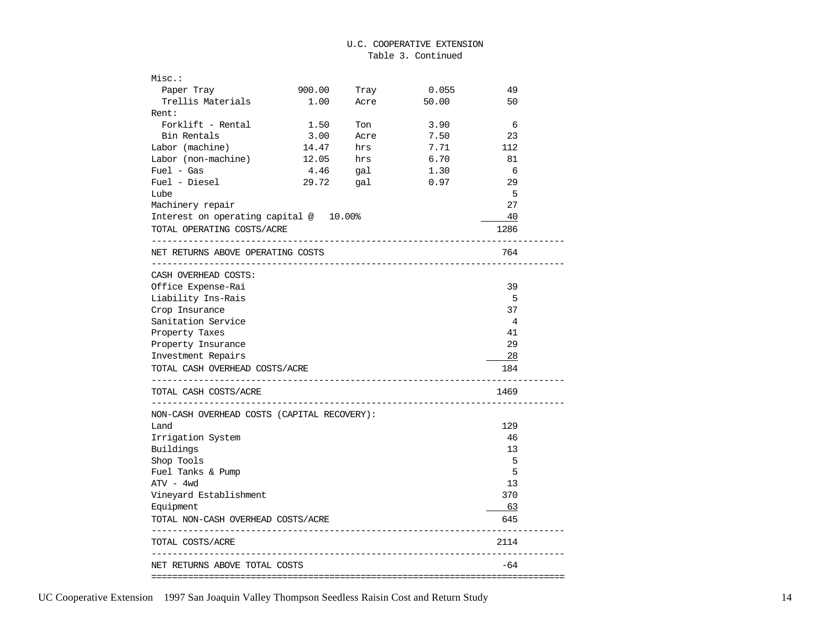| Misc.:                                                  |        |      |                                |       |  |
|---------------------------------------------------------|--------|------|--------------------------------|-------|--|
| Paper Tray                                              | 900.00 | Tray | 0.055                          | 49    |  |
| Trellis Materials                                       | 1.00   | Acre | 50.00                          | 50    |  |
| Rent:                                                   |        |      |                                |       |  |
| Forklift - Rental                                       | 1.50   | Ton  | 3.90                           | 6     |  |
| Bin Rentals                                             | 3.00   | Acre | 7.50                           | 23    |  |
| Labor (machine)                                         | 14.47  | hrs  | 7.71                           | 112   |  |
| Labor (non-machine)                                     | 12.05  | hrs  | 6.70                           | 81    |  |
| $Fuel - Gas$                                            | 4.46   | gal  | 1.30                           | 6     |  |
| Fuel - Diesel                                           | 29.72  | gal  | 0.97                           | 29    |  |
| Lube                                                    |        |      |                                | 5     |  |
| Machinery repair                                        |        |      |                                | 27    |  |
| Interest on operating capital @ 10.00%                  |        |      |                                | 40    |  |
| TOTAL OPERATING COSTS/ACRE<br>------------------------- |        |      |                                | 1286  |  |
| NET RETURNS ABOVE OPERATING COSTS                       |        |      |                                | 764   |  |
| _____________________<br>CASH OVERHEAD COSTS:           |        |      | ------------------------------ |       |  |
| Office Expense-Rai                                      |        |      |                                | 39    |  |
| Liability Ins-Rais                                      |        |      |                                | 5     |  |
| Crop Insurance                                          |        |      |                                | 37    |  |
| Sanitation Service                                      |        |      |                                | 4     |  |
| Property Taxes                                          |        |      |                                | 41    |  |
| Property Insurance                                      |        |      |                                | 29    |  |
| Investment Repairs                                      |        |      |                                | $-28$ |  |
| TOTAL CASH OVERHEAD COSTS/ACRE                          |        |      |                                | 184   |  |
| --------------------------<br>TOTAL CASH COSTS/ACRE     |        |      |                                | 1469  |  |
| NON-CASH OVERHEAD COSTS (CAPITAL RECOVERY):             |        |      |                                |       |  |
| Land                                                    |        |      |                                | 129   |  |
| Irrigation System                                       |        |      |                                | 46    |  |
| Buildings                                               |        |      |                                | 13    |  |
| Shop Tools                                              |        |      |                                | 5     |  |
| Fuel Tanks & Pump                                       |        |      |                                | 5     |  |
| $ATV - 4wd$                                             |        |      |                                | 13    |  |
| Vineyard Establishment                                  |        |      |                                | 370   |  |
| Equipment                                               |        |      |                                | - 63  |  |
| TOTAL NON-CASH OVERHEAD COSTS/ACRE                      |        |      |                                | 645   |  |
| TOTAL COSTS/ACRE                                        |        |      |                                | 2114  |  |
| NET RETURNS ABOVE TOTAL COSTS                           |        |      |                                | -64   |  |
|                                                         |        |      |                                |       |  |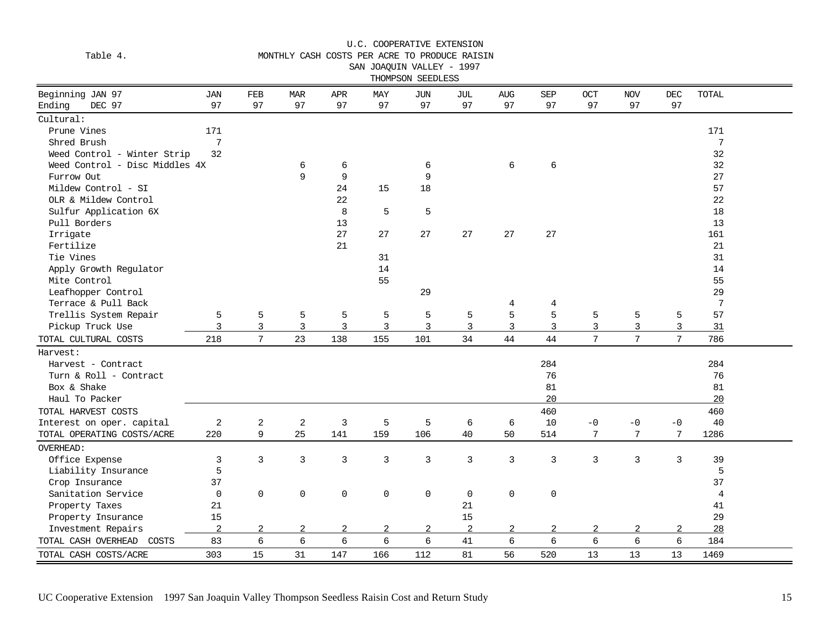| Table 4.                                   | MONTHLY CASH COSTS PER ACRE TO PRODUCE RAISIN<br>SAN JOAQUIN VALLEY - 1997<br>THOMPSON SEEDLESS |                 |                  |                |                |                |                |                |            |      |            |                 |                 |  |
|--------------------------------------------|-------------------------------------------------------------------------------------------------|-----------------|------------------|----------------|----------------|----------------|----------------|----------------|------------|------|------------|-----------------|-----------------|--|
| Beginning JAN 97                           | <b>JAN</b>                                                                                      | FEB             | <b>MAR</b>       | APR            | MAY            | <b>JUN</b>     | <b>JUL</b>     | <b>AUG</b>     | <b>SEP</b> | OCT  | <b>NOV</b> | <b>DEC</b>      | TOTAL           |  |
| Ending<br>DEC 97                           | 97                                                                                              | 97              | 97               | 97             | 97             | 97             | 97             | 97             | 97         | 97   | 97         | 97              |                 |  |
| Cultural:                                  | 171                                                                                             |                 |                  |                |                |                |                |                |            |      |            |                 | 171             |  |
| Prune Vines                                | 7                                                                                               |                 |                  |                |                |                |                |                |            |      |            |                 | $7\phantom{.0}$ |  |
| Shred Brush<br>Weed Control - Winter Strip | 32                                                                                              |                 |                  |                |                |                |                |                |            |      |            |                 | 32              |  |
| Weed Control - Disc Middles 4X             |                                                                                                 |                 | 6                | 6              |                | 6              |                | 6              | 6          |      |            |                 | 32              |  |
| Furrow Out                                 |                                                                                                 |                 | 9                | 9              |                | 9              |                |                |            |      |            |                 | 27              |  |
| Mildew Control - SI                        |                                                                                                 |                 |                  | 24             | 15             | 18             |                |                |            |      |            |                 | 57              |  |
| OLR & Mildew Control                       |                                                                                                 |                 |                  | 22             |                |                |                |                |            |      |            |                 | 22              |  |
| Sulfur Application 6X                      |                                                                                                 |                 |                  | 8              | 5              | 5              |                |                |            |      |            |                 | 18              |  |
| Pull Borders                               |                                                                                                 |                 |                  | 13             |                |                |                |                |            |      |            |                 | 13              |  |
| Irrigate                                   |                                                                                                 |                 |                  | 27             | 27             | 27             | 27             | 27             | 27         |      |            |                 | 161             |  |
| Fertilize                                  |                                                                                                 |                 |                  | 21             |                |                |                |                |            |      |            |                 | 21              |  |
| Tie Vines                                  |                                                                                                 |                 |                  |                | 31             |                |                |                |            |      |            |                 | 31              |  |
| Apply Growth Regulator                     |                                                                                                 |                 |                  |                | 14             |                |                |                |            |      |            |                 | 14              |  |
| Mite Control                               |                                                                                                 |                 |                  |                | 55             |                |                |                |            |      |            |                 | 55              |  |
| Leafhopper Control                         |                                                                                                 |                 |                  |                |                | 29             |                |                |            |      |            |                 | 29              |  |
| Terrace & Pull Back                        |                                                                                                 |                 |                  |                |                |                |                | 4              | 4          |      |            |                 | $7\phantom{.0}$ |  |
| Trellis System Repair                      | 5                                                                                               | 5               | 5                | 5              | 5              | 5              | 5              | 5              | 5          | 5    | 5          | 5               | 57              |  |
| Pickup Truck Use                           | 3                                                                                               | 3               | 3                | 3              | 3              | 3              | 3              | 3              | 3          | 3    | 3          | 3               | 31              |  |
| TOTAL CULTURAL COSTS                       | 218                                                                                             | $7\overline{ }$ | 23               | 138            | 155            | 101            | 34             | 44             | 44         | 7    | 7          | $7\phantom{.0}$ | 786             |  |
|                                            |                                                                                                 |                 |                  |                |                |                |                |                |            |      |            |                 |                 |  |
| Harvest:                                   |                                                                                                 |                 |                  |                |                |                |                |                |            |      |            |                 |                 |  |
| Harvest - Contract                         |                                                                                                 |                 |                  |                |                |                |                |                | 284        |      |            |                 | 284             |  |
| Turn & Roll - Contract                     |                                                                                                 |                 |                  |                |                |                |                |                | 76         |      |            |                 | 76              |  |
| Box & Shake                                |                                                                                                 |                 |                  |                |                |                |                |                | 81         |      |            |                 | 81              |  |
| Haul To Packer                             |                                                                                                 |                 |                  |                |                |                |                |                | 20         |      |            |                 | 20              |  |
| TOTAL HARVEST COSTS                        |                                                                                                 |                 |                  |                |                |                |                |                | 460        |      |            |                 | 460             |  |
| Interest on oper. capital                  | $\mathbf 2$                                                                                     | $\sqrt{2}$      | $\boldsymbol{2}$ | 3              | 5              | 5              | 6              | 6              | 10         | $-0$ | $-0$       | $-0$            | 40              |  |
| TOTAL OPERATING COSTS/ACRE                 | 220                                                                                             | 9               | 25               | 141            | 159            | 106            | 40             | 50             | 514        | 7    | 7          | 7               | 1286            |  |
| <b>OVERHEAD:</b>                           |                                                                                                 |                 |                  |                |                |                |                |                |            |      |            |                 |                 |  |
| Office Expense                             | 3                                                                                               | 3               | 3                | 3              | $\mathsf{3}$   | 3              | 3              | $\overline{3}$ | 3          | 3    | 3          | $\overline{3}$  | 39              |  |
| Liability Insurance                        | 5                                                                                               |                 |                  |                |                |                |                |                |            |      |            |                 | 5               |  |
| Crop Insurance                             | 37                                                                                              |                 |                  |                |                |                |                |                |            |      |            |                 | 37              |  |
| Sanitation Service                         | $\mathbf 0$                                                                                     | $\mathsf{O}$    | 0                | $\mathbf 0$    | 0              | $\mathbf 0$    | $\mathbf 0$    | $\mathbf 0$    | 0          |      |            |                 | 4               |  |
| Property Taxes                             | 21                                                                                              |                 |                  |                |                |                | 21             |                |            |      |            |                 | 41              |  |
| Property Insurance                         | 15                                                                                              |                 |                  |                |                |                | 15             |                |            |      |            |                 | 29              |  |
| Investment Repairs                         | $\overline{2}$                                                                                  | $\overline{2}$  | $\overline{a}$   | $\overline{2}$ | $\overline{a}$ | $\overline{a}$ | $\overline{a}$ | 2              | 2          | 2    | 2          | 2               | 28              |  |
| TOTAL CASH OVERHEAD<br>COSTS               | 83                                                                                              | 6               | 6                | $\epsilon$     | 6              | 6              | 41             | $\sqrt{6}$     | 6          | 6    | 6          | $\sqrt{6}$      | 184             |  |
| TOTAL CASH COSTS/ACRE                      | 303                                                                                             | 15              | 31               | 147            | 166            | 112            | 81             | 56             | 520        | 13   | 13         | 13              | 1469            |  |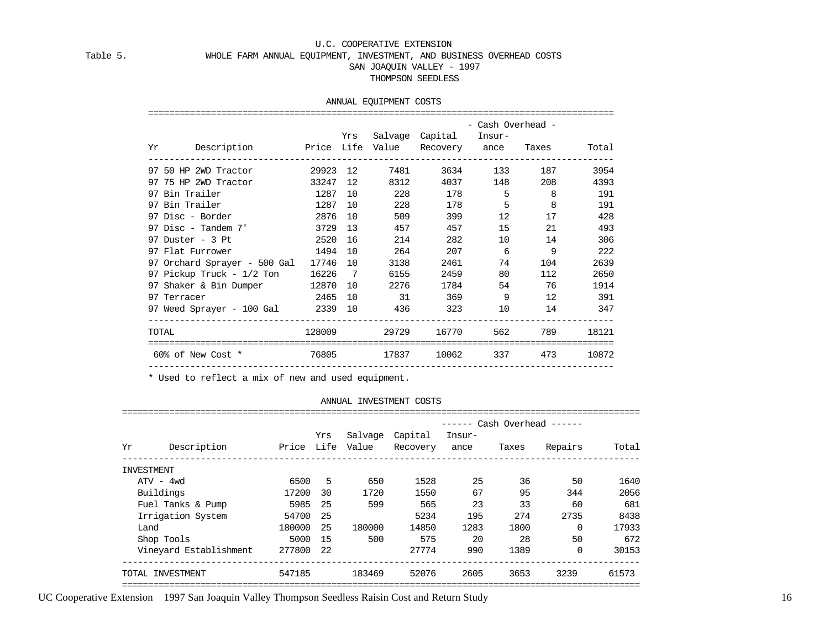#### Table 5. WHOLE FARM ANNUAL EQUIPMENT, INVESTMENT, AND BUSINESS OVERHEAD COSTS

#### SAN JOAQUIN VALLEY - 1997

#### THOMPSON SEEDLESS

#### ANNUAL EQUIPMENT COSTS

|       |                                                       |         |         |      |                                       | - Cash Overhead - |                             |       |
|-------|-------------------------------------------------------|---------|---------|------|---------------------------------------|-------------------|-----------------------------|-------|
|       |                                                       |         | Yrs     |      | Salvage Capital Insur-                |                   |                             |       |
|       | Yr Description – Price Life Value Recovery ance Taxes |         |         |      |                                       |                   |                             | Total |
|       |                                                       |         |         |      |                                       |                   | 3634 133 187                |       |
|       | 97 75 HP 2WD Tractor 33247 12 8312                    |         |         |      |                                       |                   | 4037 148 208                |       |
|       | 97 Bin Trailer                                        | 1287 10 |         |      | 228                                   | 178               | $5 \qquad \qquad 8$         |       |
|       | 97 Bin Trailer 1287 10                                |         |         | 228  |                                       | 178               | $5 \qquad \qquad 8$         |       |
|       |                                                       |         |         |      | 509<br>399 — 10                       |                   | 12 and $\overline{a}$<br>17 |       |
|       | 97 Disc - Tandem 7'                                   |         | 3729 13 |      | 457<br>457                            |                   | 15                          |       |
|       | 97 Duster - 3 Pt 2520 16                              |         |         |      | 214<br>282 20                         |                   | 10 14                       |       |
|       | 97 Flat Furrower 1494 10                              |         |         |      | 264 207 6 9                           |                   |                             |       |
|       | 97 Orchard Sprayer - 500 Gal 17746 10                 |         |         | 3138 | 2461                                  | 74                | 104                         |       |
|       |                                                       |         |         |      | 2459                                  | 80 — 10           | 112                         |       |
|       | 97 Shaker & Bin Dumper 12870 10 2276                  |         |         |      | 1784                                  |                   | 54 76                       |       |
|       | 2465 10 31 369 9 12 391<br>97 Terracer                |         |         |      |                                       |                   |                             |       |
|       |                                                       |         |         |      |                                       |                   |                             |       |
| TOTAL |                                                       |         |         |      | 128009  29729  16770  562  789  18121 |                   |                             |       |
|       | 60% of New Cost * 76805                               |         |         |      | 17837 10062 337 473                   |                   |                             | 10872 |

\* Used to reflect a mix of new and used equipment.

#### ANNUAL INVESTMENT COSTS

|            |                        |            |      |                  |                     | -------        |       | Cash Overhead ------ |       |
|------------|------------------------|------------|------|------------------|---------------------|----------------|-------|----------------------|-------|
| Υr         | Description            | Price Life | Yrs  | Salvage<br>Value | Capital<br>Recovery | Insur-<br>ance | Taxes | Repairs              | Total |
|            |                        |            |      |                  |                     |                |       |                      |       |
| INVESTMENT |                        |            |      |                  |                     |                |       |                      |       |
|            | $ATV - 4wd$            | 6500       | 5    | 650              | 1528                | 25             | 36    | 50                   | 1640  |
|            | Buildings              | 17200      | 30   | 1720             | 1550                | 67             | 95    | 344                  | 2056  |
|            | Fuel Tanks & Pump      | 5985       | 25   | 599              | 565                 | 23             | 33    | 60                   | 681   |
|            | Irrigation System      | 54700      | 25   |                  | 5234                | 195            | 274   | 2735                 | 8438  |
| Land       |                        | 180000     | 25   | 180000           | 14850               | 1283           | 1800  | $\Omega$             | 17933 |
|            | Shop Tools             | 5000       | -15  | 500              | 575                 | 20             | 28    | 50                   | 672   |
|            | Vineyard Establishment | 277800     | - 22 |                  | 27774               | 990            | 1389  | $\Omega$             | 30153 |
|            | TOTAL INVESTMENT       | 547185     |      | 183469           | 52076               | 2605           | 3653  | 3239                 | 61573 |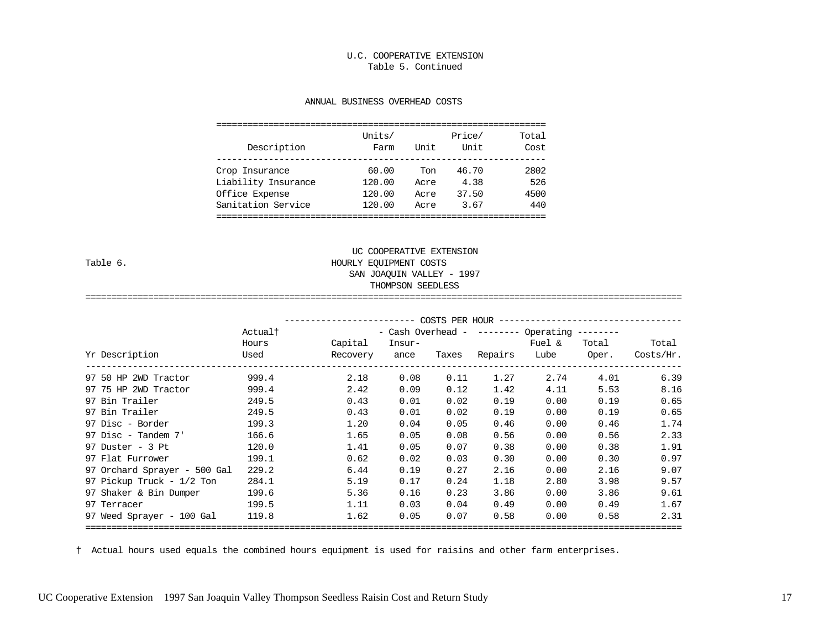#### U.C. COOPERATIVE EXTENSION Table 5. Continued

#### ANNUAL BUSINESS OVERHEAD COSTS

| Description         | Units/<br>Farm | Unit | Price/<br>Unit | Total<br>Cost |
|---------------------|----------------|------|----------------|---------------|
| Crop Insurance      | 60.00          | Ton  | 46.70          | 2802          |
| Liability Insurance | 120.00         | Acre | 4.38           | 526           |
| Office Expense      | 120.00         | Acre | 37.50          | 4500          |
| Sanitation Service  | 120.00         | Acre | 3.67           | 440           |

## UC COOPERATIVE EXTENSION Table 6. HOURLY EQUIPMENT COSTS SAN JOAQUIN VALLEY - 1997 THOMPSON SEEDLESS

|                              | COSTS PER HOUR --------------------<br>- Cash Overhead - -------- Operating --------<br>Actual† |                     |                |       |         |                |                |                    |
|------------------------------|-------------------------------------------------------------------------------------------------|---------------------|----------------|-------|---------|----------------|----------------|--------------------|
| Yr Description               | Hours<br>Used                                                                                   | Capital<br>Recovery | Insur-<br>ance | Taxes | Repairs | Fuel &<br>Lube | Total<br>Oper. | Total<br>Costs/Hr. |
| 97 50 HP 2WD Tractor         | 999.4                                                                                           | 2.18                | 0.08           | 0.11  | 1.27    | 2.74           | 4.01           | 6.39               |
| 97 75 HP 2WD Tractor         | 999.4                                                                                           | 2.42                | 0.09           | 0.12  | 1.42    | 4.11           | 5.53           | 8.16               |
| 97 Bin Trailer               | 249.5                                                                                           | 0.43                | 0.01           | 0.02  | 0.19    | 0.00           | 0.19           | 0.65               |
| 97 Bin Trailer               | 249.5                                                                                           | 0.43                | 0.01           | 0.02  | 0.19    | 0.00           | 0.19           | 0.65               |
| 97 Disc - Border             | 199.3                                                                                           | 1.20                | 0.04           | 0.05  | 0.46    | 0.00           | 0.46           | 1.74               |
| 97 Disc - Tandem 7'          | 166.6                                                                                           | 1.65                | 0.05           | 0.08  | 0.56    | 0.00           | 0.56           | 2.33               |
| $97$ Duster - 3 Pt           | 120.0                                                                                           | 1.41                | 0.05           | 0.07  | 0.38    | 0.00           | 0.38           | 1.91               |
| 97 Flat Furrower             | 199.1                                                                                           | 0.62                | 0.02           | 0.03  | 0.30    | 0.00           | 0.30           | 0.97               |
| 97 Orchard Sprayer - 500 Gal | 229.2                                                                                           | 6.44                | 0.19           | 0.27  | 2.16    | 0.00           | 2.16           | 9.07               |
| 97 Pickup Truck - 1/2 Ton    | 284.1                                                                                           | 5.19                | 0.17           | 0.24  | 1.18    | 2.80           | 3.98           | 9.57               |
| 97 Shaker & Bin Dumper       | 199.6                                                                                           | 5.36                | 0.16           | 0.23  | 3.86    | 0.00           | 3.86           | 9.61               |
| 97 Terracer                  | 199.5                                                                                           | 1.11                | 0.03           | 0.04  | 0.49    | 0.00           | 0.49           | 1.67               |
| 97 Weed Sprayer - 100 Gal    | 119.8                                                                                           | 1.62                | 0.05           | 0.07  | 0.58    | 0.00           | 0.58           | 2.31               |

==================================================================================================================

† Actual hours used equals the combined hours equipment is used for raisins and other farm enterprises.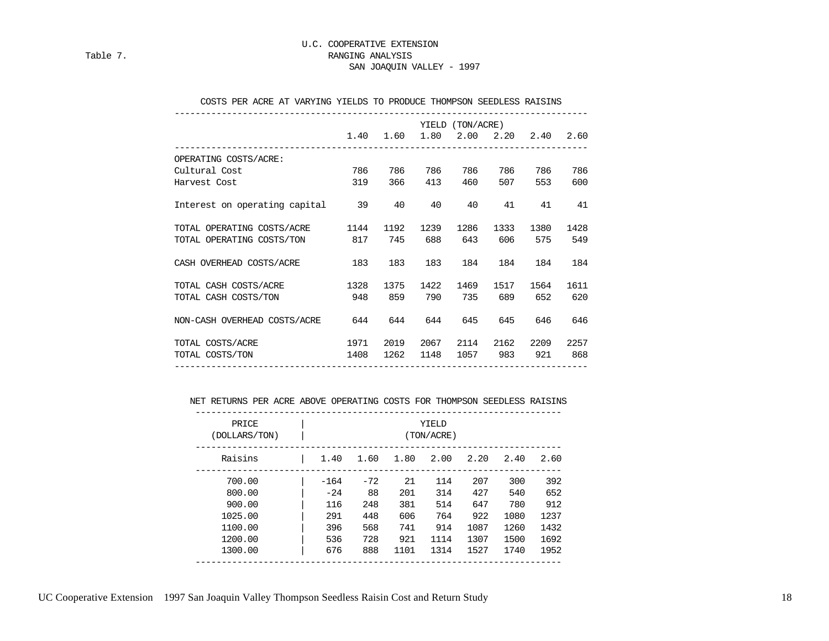#### U.C. COOPERATIVE EXTENSION Table 7. Table 7. SAN JOAQUIN VALLEY - 1997

|  |  |  |  |  |  |  |  | COSTS PER ACRE AT VARYING YIELDS TO PRODUCE THOMPSON SEEDLESS RAISINS |  |  |
|--|--|--|--|--|--|--|--|-----------------------------------------------------------------------|--|--|
|--|--|--|--|--|--|--|--|-----------------------------------------------------------------------|--|--|

|                                  |      |      |      | YIELD (TON/ACRE) |                          |      |      |
|----------------------------------|------|------|------|------------------|--------------------------|------|------|
|                                  | 1.40 | 1.60 |      |                  | 1.80 2.00 2.20 2.40 2.60 |      |      |
| OPERATING COSTS/ACRE:            |      |      |      |                  |                          |      |      |
| Cultural Cost                    | 786  | 786  | 786  | 786              | 786                      | 786  | 786  |
| Harvest Cost                     | 319  | 366  | 413  | 460              | 507                      | 553  | 600  |
| Interest on operating capital 39 |      | 40   | 40   | 40               | 41                       | 41   | 41   |
| TOTAL OPERATING COSTS/ACRE       | 1144 | 1192 | 1239 | 1286             | 1333                     | 1380 | 1428 |
| TOTAL OPERATING COSTS/TON 817    |      | 745  | 688  | 643              | 606                      | 575  | 549  |
| CASH OVERHEAD COSTS/ACRE 183     |      | 183  | 183  | 184              | 184                      | 184  | 184  |
| TOTAL CASH COSTS/ACRE            | 1328 | 1375 | 1422 | 1469             | 1517                     | 1564 | 1611 |
| TOTAL CASH COSTS/TON             | 948  | 859  | 790  | 735              | 689                      | 652  | 620  |
| NON-CASH OVERHEAD COSTS/ACRE 644 |      | 644  | 644  | 645              | 645                      | 646  | 646  |
| TOTAL COSTS/ACRE                 | 1971 | 2019 | 2067 | 2114             | 2162                     | 2209 | 2257 |
| TOTAL COSTS/TON                  | 1408 | 1262 | 1148 | 1057             | 983                      | 921  | 868  |

#### NET RETURNS PER ACRE ABOVE OPERATING COSTS FOR THOMPSON SEEDLESS RAISINS

| PRICE<br>YIELD<br>(DOLLARS/TON)<br>(TON/ACRE) |  |        |       |      |      |      |      |      |  |
|-----------------------------------------------|--|--------|-------|------|------|------|------|------|--|
| Raisins                                       |  | 1.40   | 1.60  | 1.80 | 2.00 | 2.20 | 2.40 | 2.60 |  |
| 700.00                                        |  | $-164$ | $-72$ | 21   | 114  | 207  | 300  | 392  |  |
| 800.00                                        |  | $-24$  | 88    | 201  | 314  | 427  | 540  | 652  |  |
| 900.00                                        |  | 116    | 248   | 381  | 514  | 647  | 780  | 912  |  |
| 1025.00                                       |  | 291    | 448   | 606  | 764  | 922  | 1080 | 1237 |  |
| 1100.00                                       |  | 396    | 568   | 741  | 914  | 1087 | 1260 | 1432 |  |
| 1200.00                                       |  | 536    | 728   | 921  | 1114 | 1307 | 1500 | 1692 |  |
| 1300.00                                       |  | 676    | 888   | 1101 | 1314 | 1527 | 1740 | 1952 |  |

UC Cooperative Extension 1997 San Joaquin Valley Thompson Seedless Raisin Cost and Return Study 18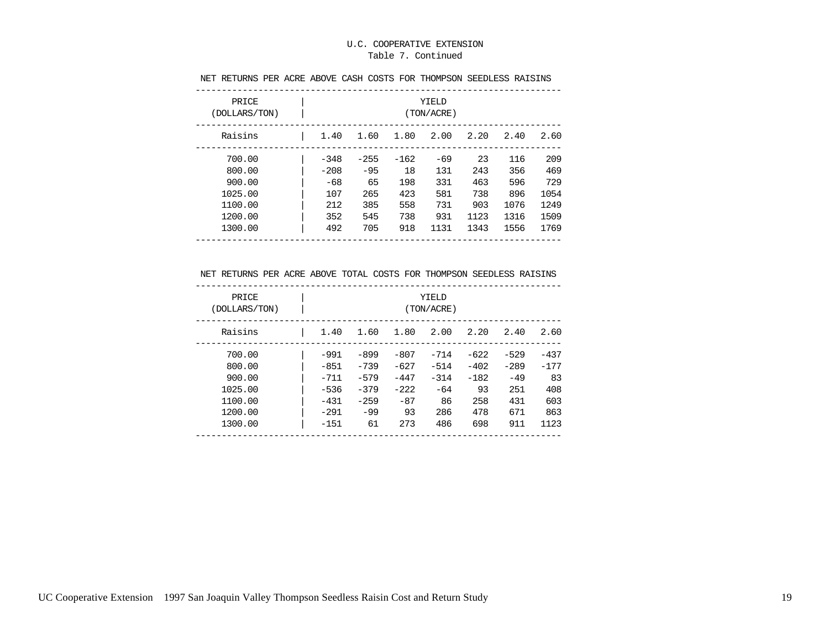#### Table 7. Continued

| PRICE<br>(DOLLARS/TON) | YIELD<br>(TON/ACRE) |        |        |       |      |      |      |
|------------------------|---------------------|--------|--------|-------|------|------|------|
| Raisins                | 1.40                | 1.60   | 1.80   | 2.00  | 2.20 | 2.40 | 2.60 |
| 700.00                 | $-348$              | $-255$ | $-162$ | $-69$ | 23   | 116  | 209  |
| 800.00                 | $-208$              | $-95$  | 18     | 131   | 243  | 356  | 469  |
| 900.00                 | $-68$               | 65     | 198    | 331   | 463  | 596  | 729  |
| 1025.00                | 107                 | 265    | 423    | 581   | 738  | 896  | 1054 |
| 1100.00                | 212                 | 385    | 558    | 731   | 903  | 1076 | 1249 |
| 1200.00                | 352                 | 545    | 738    | 931   | 1123 | 1316 | 1509 |
| 1300.00                | 492                 | 705    | 918    | 1131  | 1343 | 1556 | 1769 |

#### NET RETURNS PER ACRE ABOVE CASH COSTS FOR THOMPSON SEEDLESS RAISINS

#### NET RETURNS PER ACRE ABOVE TOTAL COSTS FOR THOMPSON SEEDLESS RAISINS

| PRICE<br>(DOLLARS/TON) |        | YIELD<br>(TON/ACRE) |        |        |        |        |        |  |  |
|------------------------|--------|---------------------|--------|--------|--------|--------|--------|--|--|
| Raisins                | 1.40   | 1.60                | 1.80   | 2.00   | 2.20   | 2.40   | 2.60   |  |  |
| 700.00                 | $-991$ | $-899$              | $-807$ | $-714$ | $-622$ | $-529$ | $-437$ |  |  |
| 800.00                 | $-851$ | $-739$              | $-627$ | $-514$ | $-402$ | $-289$ | $-177$ |  |  |
| 900.00                 | $-711$ | $-579$              | $-447$ | $-314$ | $-182$ | $-49$  | 83     |  |  |
| 1025.00                | $-536$ | $-379$              | $-222$ | $-64$  | 93     | 251    | 408    |  |  |
| 1100.00                | $-431$ | $-259$              | $-87$  | 86     | 258    | 431    | 603    |  |  |
| 1200.00                | $-291$ | $-99$               | 93     | 286    | 478    | 671    | 863    |  |  |
| 1300.00                | $-151$ | 61                  | 273    | 486    | 698    | 911    | 1123   |  |  |